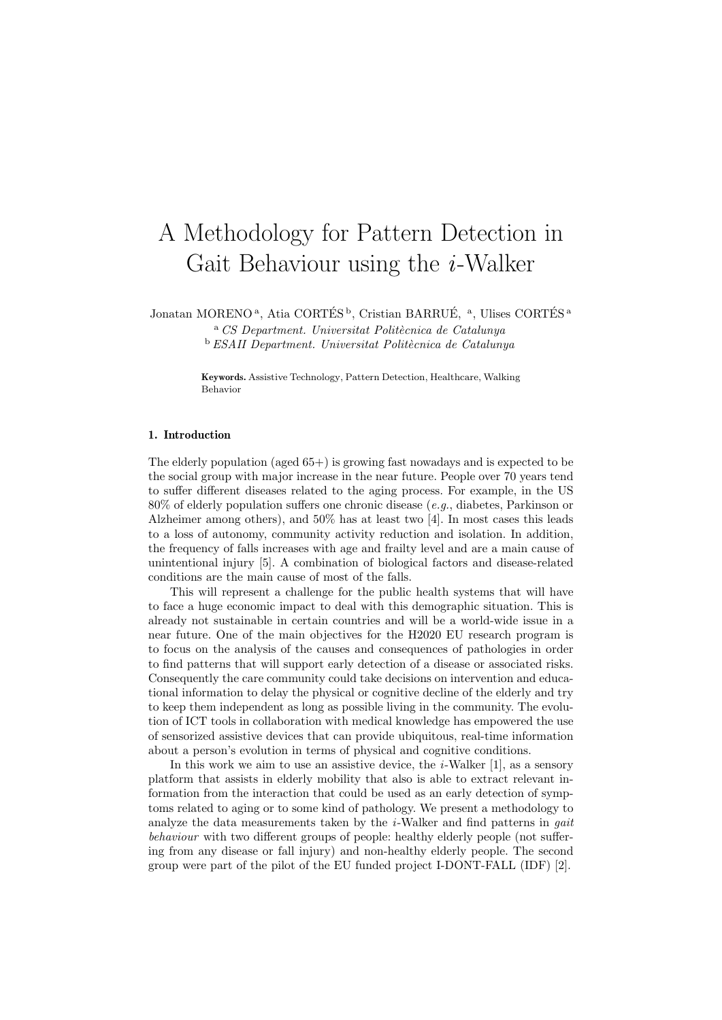# A Methodology for Pattern Detection in Gait Behaviour using the  $i$ -Walker

Jonatan MORENO<sup>a</sup>, Atia CORTÉS<sup>b</sup>, Cristian BARRUÉ, <sup>a</sup>, Ulises CORTÉS<sup>a</sup>

 $\alpha$  CS Department. Universitat Politècnica de Catalunya  $b$  ESAII Department. Universitat Politècnica de Catalunya

Keywords. Assistive Technology, Pattern Detection, Healthcare, Walking Behavior

### 1. Introduction

The elderly population (aged  $65+$ ) is growing fast nowadays and is expected to be the social group with major increase in the near future. People over 70 years tend to suffer different diseases related to the aging process. For example, in the US 80% of elderly population suffers one chronic disease (e.g., diabetes, Parkinson or Alzheimer among others), and 50% has at least two [4]. In most cases this leads to a loss of autonomy, community activity reduction and isolation. In addition, the frequency of falls increases with age and frailty level and are a main cause of unintentional injury [5]. A combination of biological factors and disease-related conditions are the main cause of most of the falls.

This will represent a challenge for the public health systems that will have to face a huge economic impact to deal with this demographic situation. This is already not sustainable in certain countries and will be a world-wide issue in a near future. One of the main objectives for the H2020 EU research program is to focus on the analysis of the causes and consequences of pathologies in order to find patterns that will support early detection of a disease or associated risks. Consequently the care community could take decisions on intervention and educational information to delay the physical or cognitive decline of the elderly and try to keep them independent as long as possible living in the community. The evolution of ICT tools in collaboration with medical knowledge has empowered the use of sensorized assistive devices that can provide ubiquitous, real-time information about a person's evolution in terms of physical and cognitive conditions.

In this work we aim to use an assistive device, the  $i$ -Walker [1], as a sensory platform that assists in elderly mobility that also is able to extract relevant information from the interaction that could be used as an early detection of symptoms related to aging or to some kind of pathology. We present a methodology to analyze the data measurements taken by the  $i$ -Walker and find patterns in *gait* behaviour with two different groups of people: healthy elderly people (not suffering from any disease or fall injury) and non-healthy elderly people. The second group were part of the pilot of the EU funded project I-DONT-FALL (IDF) [2].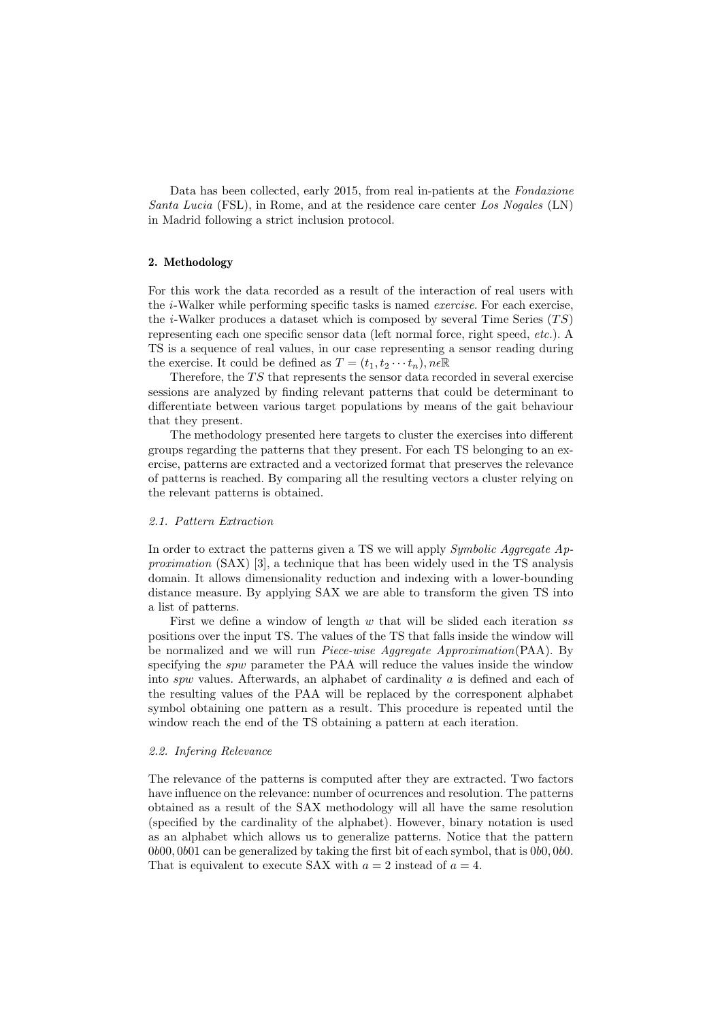Data has been collected, early 2015, from real in-patients at the Fondazione Santa Lucia (FSL), in Rome, and at the residence care center Los Nogales (LN) in Madrid following a strict inclusion protocol.

## 2. Methodology

For this work the data recorded as a result of the interaction of real users with the i-Walker while performing specific tasks is named exercise. For each exercise, the *i*-Walker produces a dataset which is composed by several Time Series  $(TS)$ representing each one specific sensor data (left normal force, right speed, etc.). A TS is a sequence of real values, in our case representing a sensor reading during the exercise. It could be defined as  $T = (t_1, t_2 \cdots t_n)$ ,  $n \in \mathbb{R}$ 

Therefore, the  $TS$  that represents the sensor data recorded in several exercise sessions are analyzed by finding relevant patterns that could be determinant to differentiate between various target populations by means of the gait behaviour that they present.

The methodology presented here targets to cluster the exercises into different groups regarding the patterns that they present. For each TS belonging to an exercise, patterns are extracted and a vectorized format that preserves the relevance of patterns is reached. By comparing all the resulting vectors a cluster relying on the relevant patterns is obtained.

#### 2.1. Pattern Extraction

In order to extract the patterns given a TS we will apply Symbolic Aggregate Approximation (SAX) [3], a technique that has been widely used in the TS analysis domain. It allows dimensionality reduction and indexing with a lower-bounding distance measure. By applying SAX we are able to transform the given TS into a list of patterns.

First we define a window of length  $w$  that will be slided each iteration ss positions over the input TS. The values of the TS that falls inside the window will be normalized and we will run Piece-wise Aggregate Approximation(PAA). By specifying the *spw* parameter the PAA will reduce the values inside the window into spw values. Afterwards, an alphabet of cardinality a is defined and each of the resulting values of the PAA will be replaced by the corresponent alphabet symbol obtaining one pattern as a result. This procedure is repeated until the window reach the end of the TS obtaining a pattern at each iteration.

#### 2.2. Infering Relevance

The relevance of the patterns is computed after they are extracted. Two factors have influence on the relevance: number of ocurrences and resolution. The patterns obtained as a result of the SAX methodology will all have the same resolution (specified by the cardinality of the alphabet). However, binary notation is used as an alphabet which allows us to generalize patterns. Notice that the pattern 0b00, 0b01 can be generalized by taking the first bit of each symbol, that is 0b0, 0b0. That is equivalent to execute SAX with  $a = 2$  instead of  $a = 4$ .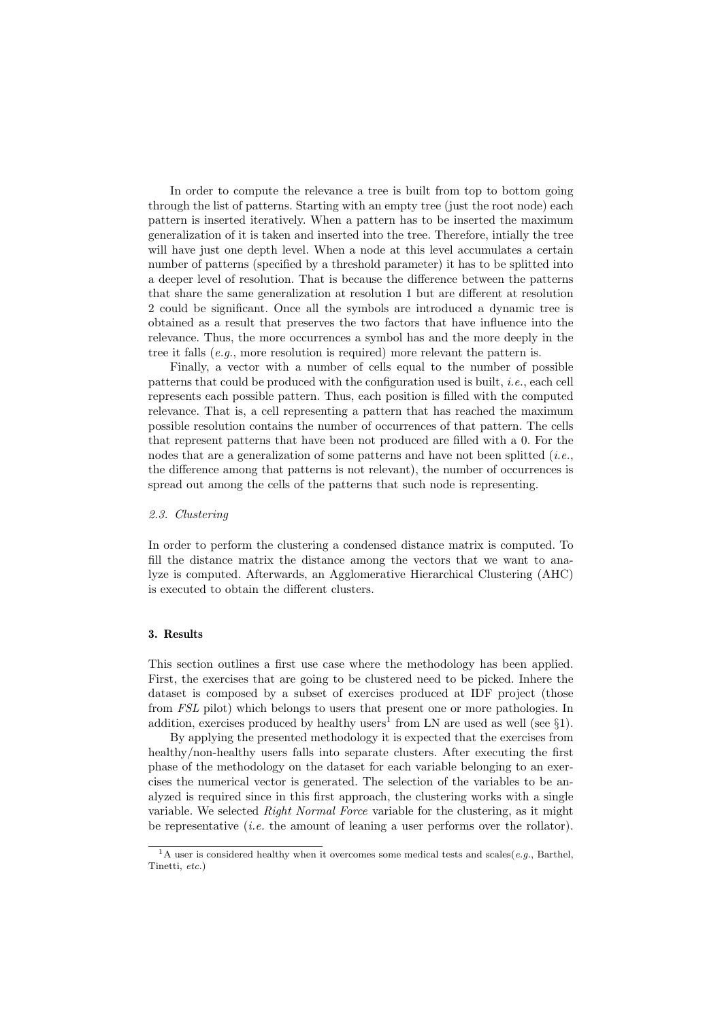In order to compute the relevance a tree is built from top to bottom going through the list of patterns. Starting with an empty tree (just the root node) each pattern is inserted iteratively. When a pattern has to be inserted the maximum generalization of it is taken and inserted into the tree. Therefore, intially the tree will have just one depth level. When a node at this level accumulates a certain number of patterns (specified by a threshold parameter) it has to be splitted into a deeper level of resolution. That is because the difference between the patterns that share the same generalization at resolution 1 but are different at resolution 2 could be significant. Once all the symbols are introduced a dynamic tree is obtained as a result that preserves the two factors that have influence into the relevance. Thus, the more occurrences a symbol has and the more deeply in the tree it falls (e.g., more resolution is required) more relevant the pattern is.

Finally, a vector with a number of cells equal to the number of possible patterns that could be produced with the configuration used is built, i.e., each cell represents each possible pattern. Thus, each position is filled with the computed relevance. That is, a cell representing a pattern that has reached the maximum possible resolution contains the number of occurrences of that pattern. The cells that represent patterns that have been not produced are filled with a 0. For the nodes that are a generalization of some patterns and have not been splitted (*i.e.*, the difference among that patterns is not relevant), the number of occurrences is spread out among the cells of the patterns that such node is representing.

#### 2.3. Clustering

In order to perform the clustering a condensed distance matrix is computed. To fill the distance matrix the distance among the vectors that we want to analyze is computed. Afterwards, an Agglomerative Hierarchical Clustering (AHC) is executed to obtain the different clusters.

# 3. Results

This section outlines a first use case where the methodology has been applied. First, the exercises that are going to be clustered need to be picked. Inhere the dataset is composed by a subset of exercises produced at IDF project (those from FSL pilot) which belongs to users that present one or more pathologies. In addition, exercises produced by healthy users<sup>1</sup> from LN are used as well (see  $\S1$ ).

By applying the presented methodology it is expected that the exercises from healthy/non-healthy users falls into separate clusters. After executing the first phase of the methodology on the dataset for each variable belonging to an exercises the numerical vector is generated. The selection of the variables to be analyzed is required since in this first approach, the clustering works with a single variable. We selected Right Normal Force variable for the clustering, as it might be representative (*i.e.* the amount of leaning a user performs over the rollator).

<sup>&</sup>lt;sup>1</sup>A user is considered healthy when it overcomes some medical tests and scales(*e.g.*, Barthel, Tinetti, etc.)